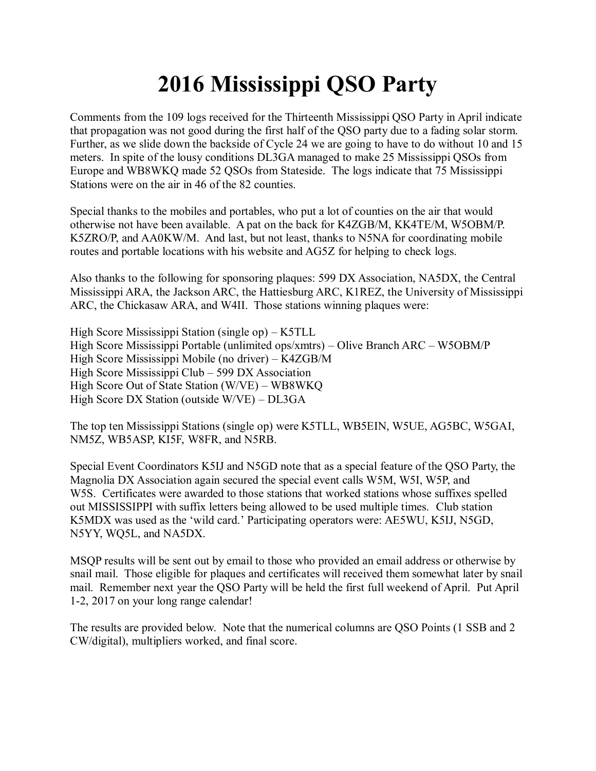## **2016 Mississippi QSO Party**

Comments from the 109 logs received for the Thirteenth Mississippi QSO Party in April indicate that propagation was not good during the first half of the QSO party due to a fading solar storm. Further, as we slide down the backside of Cycle 24 we are going to have to do without 10 and 15 meters. In spite of the lousy conditions DL3GA managed to make 25 Mississippi QSOs from Europe and WB8WKQ made 52 QSOs from Stateside. The logs indicate that 75 Mississippi Stations were on the air in 46 of the 82 counties.

Special thanks to the mobiles and portables, who put a lot of counties on the air that would otherwise not have been available. A pat on the back for K4ZGB/M, KK4TE/M, W5OBM/P. K5ZRO/P, and AA0KW/M. And last, but not least, thanks to N5NA for coordinating mobile routes and portable locations with his website and AG5Z for helping to check logs.

Also thanks to the following for sponsoring plaques: 599 DX Association, NA5DX, the Central Mississippi ARA, the Jackson ARC, the Hattiesburg ARC, K1REZ, the University of Mississippi ARC, the Chickasaw ARA, and W4II. Those stations winning plaques were:

High Score Mississippi Station (single op) – K5TLL High Score Mississippi Portable (unlimited ops/xmtrs) – Olive Branch ARC – W5OBM/P High Score Mississippi Mobile (no driver) – K4ZGB/M High Score Mississippi Club – 599 DX Association High Score Out of State Station (W/VE) – WB8WKQ High Score DX Station (outside W/VE) – DL3GA

The top ten Mississippi Stations (single op) were K5TLL, WB5EIN, W5UE, AG5BC, W5GAI, NM5Z, WB5ASP, KI5F, W8FR, and N5RB.

Special Event Coordinators K5IJ and N5GD note that as a special feature of the QSO Party, the Magnolia DX Association again secured the special event calls W5M, W5I, W5P, and W5S. Certificates were awarded to those stations that worked stations whose suffixes spelled out MISSISSIPPI with suffix letters being allowed to be used multiple times. Club station K5MDX was used as the 'wild card.' Participating operators were: AE5WU, K5IJ, N5GD, N5YY, WQ5L, and NA5DX.

MSQP results will be sent out by email to those who provided an email address or otherwise by snail mail. Those eligible for plaques and certificates will received them somewhat later by snail mail. Remember next year the QSO Party will be held the first full weekend of April. Put April 1-2, 2017 on your long range calendar!

The results are provided below. Note that the numerical columns are QSO Points (1 SSB and 2 CW/digital), multipliers worked, and final score.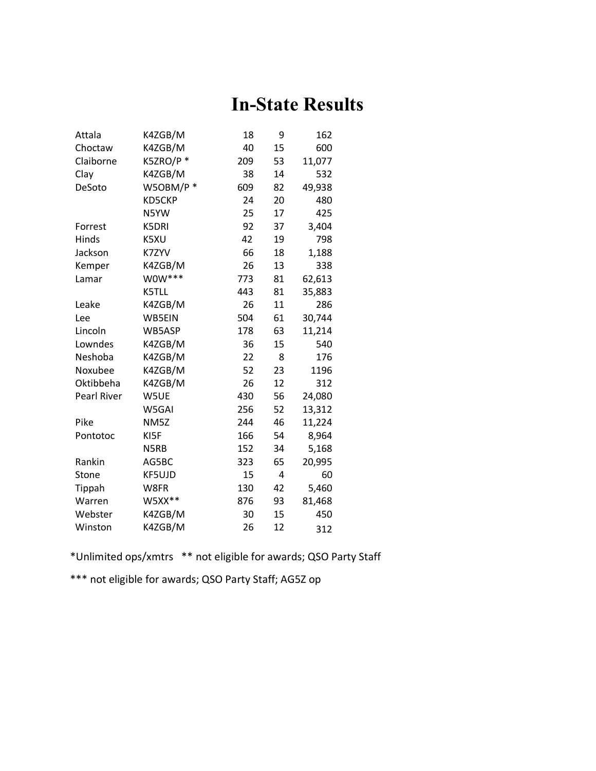## **In-State Results**

| Attala      | K4ZGB/M      | 18  | 9  | 162    |
|-------------|--------------|-----|----|--------|
| Choctaw     | K4ZGB/M      | 40  | 15 | 600    |
| Claiborne   | K5ZRO/P*     | 209 | 53 | 11,077 |
| Clay        | K4ZGB/M      | 38  | 14 | 532    |
| DeSoto      | W5OBM/P*     | 609 | 82 | 49,938 |
|             | KD5CKP       | 24  | 20 | 480    |
|             | N5YW         | 25  | 17 | 425    |
| Forrest     | <b>K5DRI</b> | 92  | 37 | 3,404  |
| Hinds       | K5XU         | 42  | 19 | 798    |
| Jackson     | K7ZYV        | 66  | 18 | 1,188  |
| Kemper      | K4ZGB/M      | 26  | 13 | 338    |
| Lamar       | W0W***       | 773 | 81 | 62,613 |
|             | K5TLL        | 443 | 81 | 35,883 |
| Leake       | K4ZGB/M      | 26  | 11 | 286    |
| Lee         | WB5EIN       | 504 | 61 | 30,744 |
| Lincoln     | WB5ASP       | 178 | 63 | 11,214 |
| Lowndes     | K4ZGB/M      | 36  | 15 | 540    |
| Neshoba     | K4ZGB/M      | 22  | 8  | 176    |
| Noxubee     | K4ZGB/M      | 52  | 23 | 1196   |
| Oktibbeha   | K4ZGB/M      | 26  | 12 | 312    |
| Pearl River | W5UE         | 430 | 56 | 24,080 |
|             | W5GAI        | 256 | 52 | 13,312 |
| Pike        | NM5Z         | 244 | 46 | 11,224 |
| Pontotoc    | KI5F         | 166 | 54 | 8,964  |
|             | N5RB         | 152 | 34 | 5,168  |
| Rankin      | AG5BC        | 323 | 65 | 20,995 |
| Stone       | KF5UJD       | 15  | 4  | 60     |
| Tippah      | W8FR         | 130 | 42 | 5,460  |
| Warren      | $W5XX**$     | 876 | 93 | 81,468 |
| Webster     | K4ZGB/M      | 30  | 15 | 450    |
| Winston     | K4ZGB/M      | 26  | 12 | 312    |

\*Unlimited ops/xmtrs \*\* not eligible for awards; QSO Party Staff

\*\*\* not eligible for awards; QSO Party Staff; AG5Z op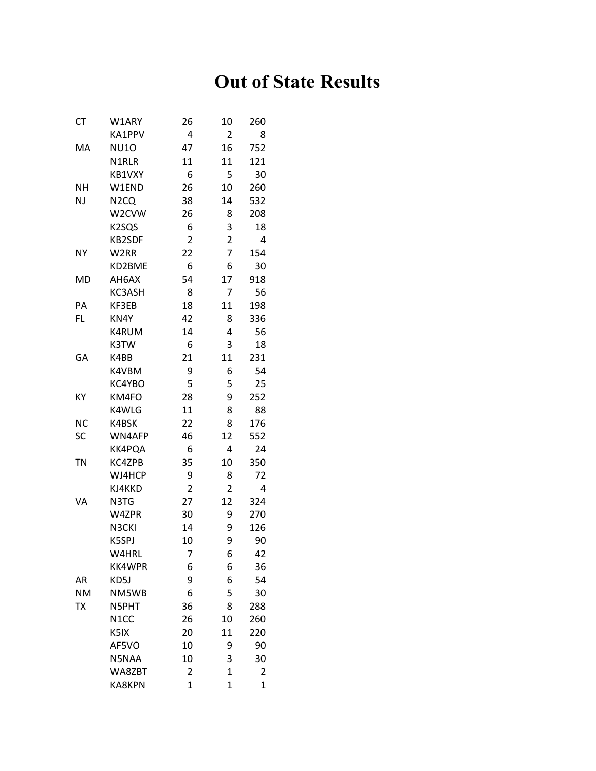## **Out of State Results**

| СT        | W1ARY             | 26             | 10                      | 260            |
|-----------|-------------------|----------------|-------------------------|----------------|
|           | KA1PPV            | 4              | $\overline{2}$          | 8              |
| MA        | <b>NU10</b>       | 47             | 16                      | 752            |
|           | N1RLR             | 11             | 11                      | 121            |
|           | KB1VXY            | 6              | 5                       | 30             |
| <b>NH</b> | W1END             | 26             | 10                      | 260            |
| NJ        | N <sub>2</sub> CQ | 38             | 14                      | 532            |
|           | W2CVW             | 26             | 8                       | 208            |
|           | K2SQS             | 6              | 3                       | 18             |
|           | KB2SDF            | $\overline{2}$ | $\overline{\mathbf{c}}$ | 4              |
| <b>NY</b> | W <sub>2RR</sub>  | 22             | 7                       | 154            |
|           | KD2BME            | 6              | 6                       | 30             |
| MD        | AH6AX             | 54             | 17                      | 918            |
|           | KC3ASH            | 8              | 7                       | 56             |
| PA        | KF3EB             | 18             | 11                      | 198            |
| FL        | KN4Y              | 42             | 8                       | 336            |
|           | K4RUM             | 14             | 4                       | 56             |
|           | K3TW              | 6              | 3                       | 18             |
| GA        | K4BB              | 21             | 11                      | 231            |
|           | K4VBM             | 9              | 6                       | 54             |
|           | KC4YBO            | 5              | 5                       | 25             |
| KY        | KM4FO             | 28             | 9                       | 252            |
|           | K4WLG             | 11             | 8                       | 88             |
| <b>NC</b> | K4BSK             | 22             | 8                       | 176            |
| SC        | WN4AFP            | 46             | 12                      | 552            |
|           | KK4PQA            | 6              | 4                       | 24             |
| <b>TN</b> | KC4ZPB            | 35             | 10                      | 350            |
|           | WJ4HCP            | 9              | 8                       | 72             |
|           | KJ4KKD            | $\overline{2}$ | $\overline{2}$          | 4              |
| VA        | N3TG              | 27             | 12                      | 324            |
|           | W4ZPR             | 30             | 9                       | 270            |
|           | N3CKI             | 14             | 9                       | 126            |
|           | K5SPJ             | 10             | 9                       | 90             |
|           | W4HRL             | $\overline{7}$ | 6                       | 42             |
|           | <b>KK4WPR</b>     | 6              | 6                       | 36             |
| AR        | KD5J              | 9              | 6                       | 54             |
| <b>NM</b> | NM5WB             | 6              | 5                       | 30             |
| <b>TX</b> | N5PHT             | 36             | 8                       | 288            |
|           | N <sub>1</sub> CC | 26             | 10                      | 260            |
|           | K5IX              | 20             | 11                      | 220            |
|           | AF5VO             | 10             | 9                       | 90             |
|           | N5NAA             | 10             | 3                       | 30             |
|           | WA8ZBT            | 2              | $\mathbf 1$             | 2              |
|           | <b>KA8KPN</b>     | $\overline{1}$ | $\mathbf 1$             | $\overline{1}$ |